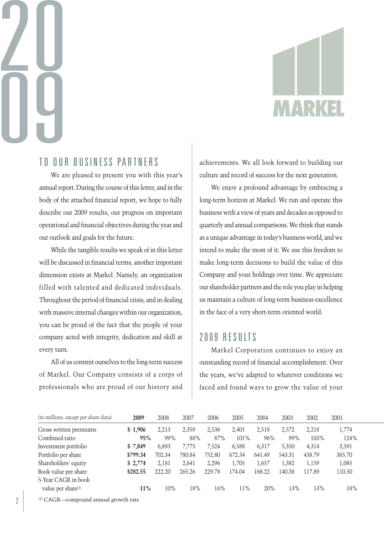# 20 09



## TO OUR BUSINESS PARTNERS

We are pleased to present you with this year's annual report. During the course of this letter, and in the body of the attached financial report, we hope to fully describe our 2009 results, our progress on important operational and financial objectives during the year and our outlook and goals for the future.

While the tangible results we speak of in this letter will be discussed in financial terms, another important dimension exists at Markel. Namely, an organization filled with talented and dedicated individuals. Throughout the period of financial crisis, and in dealing with massive internal changes within our organization, you can be proud of the fact that the people of your company acted with integrity, dedication and skill at every turn.

All of us commit ourselves to the long-term success of Markel. Our Company consists of a corps of professionals who are proud of our history and achievements. We all look forward to building our culture and record of success for the next generation.

We enjoy a profound advantage by embracing a long-term horizon at Markel. We run and operate this business with a view of years and decades as opposed to quarterly and annual comparisons. We think that stands as a unique advantage in today's business world, and we intend to make the most of it. We use this freedom to make long-term decisions to build the value of this Company and your holdings over time. We appreciate our shareholder partners and the role you play in helping us maintain a culture of long-term business excellence in the face of a very short-term oriented world.

# 2009 RESULTS

Markel Corporation continues to enjoy an outstanding record of financial accomplishment. Over the years, we've adapted to whatever conditions we faced and found ways to grow the value of your

| (in millions, except per share data) | 2009     | 2008   | 2007   | 2006   | 2005   | 2004   | 2003   | 2002   | 2001   |
|--------------------------------------|----------|--------|--------|--------|--------|--------|--------|--------|--------|
| Gross written premiums               | \$1,906  | 2.213  | 2,359  | 2,536  | 2,401  | 2,518  | 2.572  | 2.218  | 1,774  |
| Combined ratio                       | 95%      | 99%    | 88%    | 87%    | 101%   | 96%    | 99%    | 103%   | 124%   |
| Investment portfolio                 | \$7,849  | 6,893  | 7.775  | 7,524  | 6,588  | 6,317  | 5,350  | 4,314  | 3,591  |
| Portfolio per share                  | \$799.34 | 702.34 | 780.84 | 752.80 | 672.34 | 641.49 | 543.31 | 438.79 | 365.70 |
| Shareholders' equity                 | \$2,774  | 2.181  | 2.641  | 2,296  | 1.705  | 1,657  | 1,382  | 1,159  | 1,085  |
| Book value per share                 | \$282.55 | 222.20 | 265.26 | 229.78 | 174.04 | 168.22 | 140.38 | 117.89 | 110.50 |
| 5-Year CAGR in book                  |          |        |        |        |        |        |        |        |        |
| value per share(1)                   | 11%      | 10%    | 18%    | 16%    | 11%    | 20%    | 13%    | 13%    | 18%    |

(1) CAGR—compound annual growth rate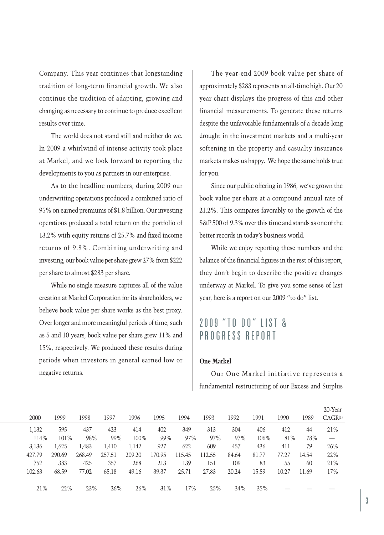Company. This year continues that longstanding tradition of long-term financial growth. We also continue the tradition of adapting, growing and changing as necessary to continue to produce excellent results over time.

The world does not stand still and neither do we. In 2009 a whirlwind of intense activity took place at Markel, and we look forward to reporting the developments to you as partners in our enterprise.

As to the headline numbers, during 2009 our underwriting operations produced a combined ratio of 95% on earned premiums of \$1.8 billion. Ourinvesting operations produced a total return on the portfolio of 13.2% with equity returns of 25.7% and fixed income returns of 9.8%. Combining underwriting and investing, our book value per share grew 27% from \$222 per share to almost \$283 per share.

While no single measure captures all of the value creation at Markel Corporation for its shareholders, we believe book value per share works as the best proxy. Over longer and more meaningful periods of time, such as 5 and 10 years, book value per share grew 11% and 15%, respectively. We produced these results during periods when investors in general earned low or negative returns.

The year-end 2009 book value per share of approximately \$283 represents an all-time high. Our 20 year chart displays the progress of this and other financial measurements. To generate these returns despite the unfavorable fundamentals of a decade-long drought in the investment markets and a multi-year softening in the property and casualty insurance markets makes us happy. We hope the same holds true for you.

Since our public offering in 1986, we've grown the book value per share at a compound annual rate of 21.2%. This compares favorably to the growth of the S&P 500 of 9.3% over this time and stands as one of the better records in today's business world.

While we enjoy reporting these numbers and the balance of the financial figures in the rest of this report, they don't begin to describe the positive changes underway at Markel. To give you some sense of last year, here is a report on our 2009 "to do" list.

# 2009 "TO DO" LIST & PROGRESS REPORT

## **One Markel**

Our One Markel initiative represents a fundamental restructuring of our Excess and Surplus

|        |        |        |        |        |        |        |        |       |       |       |       | zu- rear            |
|--------|--------|--------|--------|--------|--------|--------|--------|-------|-------|-------|-------|---------------------|
| 2000   | 1999   | 1998   | 1997   | 1996   | 1995   | 1994   | 1993   | 1992  | 1991  | 1990  | 1989  | CAGR <sup>(1)</sup> |
| 1,132  | 595    | 437    | 423    | 414    | 402    | 349    | 313    | 304   | 406   | 412   | 44    | 21%                 |
| 114%   | 101%   | 98%    | 99%    | 100%   | 99%    | 97%    | 97%    | 97%   | 106%  | 81%   | 78%   |                     |
| 3,136  | 1,625  | 1,483  | 1,410  | 1,142  | 927    | 622    | 609    | 457   | 436   | 411   | 79    | 26%                 |
| 427.79 | 290.69 | 268.49 | 257.51 | 209.20 | 170.95 | 115.45 | 112.55 | 84.64 | 81.77 | 77.27 | 14.54 | 22%                 |
| 752    | 383    | 425    | 357    | 268    | 213    | 139    | 151    | 109   | 83    | 55    | 60    | 21%                 |
| 102.63 | 68.59  | 77.02  | 65.18  | 49.16  | 39.37  | 25.71  | 27.83  | 20.24 | 15.59 | 10.27 | 11.69 | 17%                 |
|        |        |        |        |        |        |        |        |       |       |       |       |                     |
| 21%    | 22%    | 23%    | 26%    | 26%    | 31%    | 17%    | 25%    | 34%   | 35%   |       |       |                     |

 $20.37$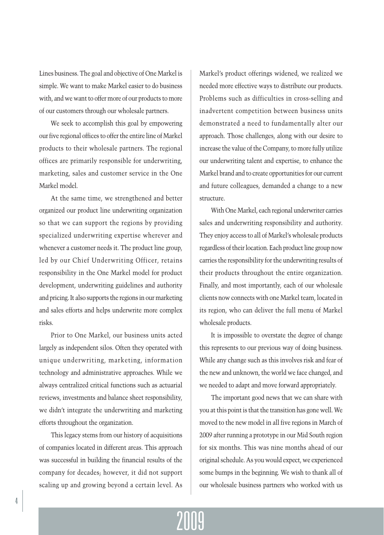Lines business. The goal and objective of One Markel is simple. We want to make Markel easier to do business with, and we want to offer more of our products to more of our customers through our wholesale partners.

We seek to accomplish this goal by empowering our five regional offices to offer the entire line of Markel products to their wholesale partners. The regional offices are primarily responsible for underwriting, marketing, sales and customer service in the One Markel model.

At the same time, we strengthened and better organized our product line underwriting organization so that we can support the regions by providing specialized underwriting expertise wherever and whenever a customer needs it. The product line group, led by our Chief Underwriting Officer, retains responsibility in the One Markel model for product development, underwriting guidelines and authority and pricing.It also supports the regions in our marketing and sales efforts and helps underwrite more complex risks.

Prior to One Markel, our business units acted largely as independent silos. Often they operated with unique underwriting, marketing, information technology and administrative approaches. While we always centralized critical functions such as actuarial reviews, investments and balance sheet responsibility, we didn't integrate the underwriting and marketing efforts throughout the organization.

This legacy stems from our history of acquisitions of companies located in different areas. This approach was successful in building the financial results of the company for decades; however, it did not support scaling up and growing beyond a certain level. As Markel's product offerings widened, we realized we needed more effective ways to distribute our products. Problems such as difficulties in cross-selling and inadvertent competition between business units demonstrated a need to fundamentally alter our approach. Those challenges, along with our desire to increase the value of the Company, to more fully utilize our underwriting talent and expertise, to enhance the Markel brand and to create opportunities for our current and future colleagues, demanded a change to a new structure.

With One Markel, each regional underwriter carries sales and underwriting responsibility and authority. They enjoy access to all of Markel's wholesale products regardless of their location. Each product line group now carries the responsibility for the underwriting results of their products throughout the entire organization. Finally, and most importantly, each of our wholesale clients now connects with one Markel team, located in its region, who can deliver the full menu of Markel wholesale products.

It is impossible to overstate the degree of change this represents to our previous way of doing business. While any change such as this involves risk and fear of the new and unknown, the world we face changed, and we needed to adapt and move forward appropriately.

The important good news that we can share with you at this point is that the transition has gone well. We moved to the new model in all five regions in March of 2009 after running a prototype in our Mid South region for six months. This was nine months ahead of our original schedule. As you would expect, we experienced some bumps in the beginning. We wish to thank all of our wholesale business partners who worked with us

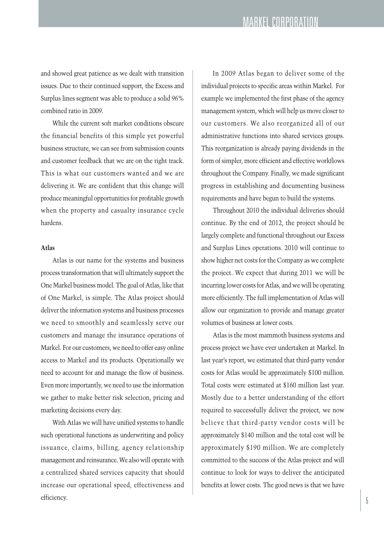and showed great patience as we dealt with transition issues. Due to their continued support, the Excess and Surplus lines segment was able to produce a solid 96% combined ratio in 2009.

While the current soft market conditions obscure the financial benefits of this simple yet powerful business structure, we can see from submission counts and customer feedback that we are on the right track. This is what our customers wanted and we are delivering it. We are confident that this change will produce meaningful opportunities for profitable growth when the property and casualty insurance cycle hardens.

### **Atlas**

Atlas is our name for the systems and business process transformation that will ultimately support the One Markel business model. The goal of Atlas, like that of One Markel, is simple. The Atlas project should deliver the information systems and business processes we need to smoothly and seamlessly serve our customers and manage the insurance operations of Markel. For our customers, we need to offer easy online access to Markel and its products. Operationally we need to account for and manage the flow of business. Even more importantly, we need to use the information we gather to make better risk selection, pricing and marketing decisions every day.

With Atlas we will have unified systems to handle such operational functions as underwriting and policy issuance, claims, billing, agency relationship management and reinsurance. We also will operate with a centralized shared services capacity that should increase our operational speed, effectiveness and  $\blacksquare$ 

In 2009 Atlas began to deliver some of the individual projects to specific areas within Markel. For example we implemented the first phase of the agency management system, which will help us move closerto our customers. We also reorganized all of our administrative functions into shared services groups. This reorganization is already paying dividends in the form of simpler, more efficient and effective workflows throughout the Company. Finally, we made significant progress in establishing and documenting business requirements and have begun to build the systems.

Throughout 2010 the individual deliveries should continue. By the end of 2012, the project should be largely complete and functional throughout our Excess and Surplus Lines operations. 2010 will continue to show higher net costs forthe Company as we complete the project. We expect that during 2011 we will be incurring lower costs for Atlas, and we will be operating more efficiently. The full implementation of Atlas will allow our organization to provide and manage greater volumes of business at lower costs.

Atlas is the most mammoth business systems and process project we have ever undertaken at Markel. In last year's report, we estimated that third-party vendor costs for Atlas would be approximately \$100 million. Total costs were estimated at \$160 million last year. Mostly due to a better understanding of the effort required to successfully deliver the project, we now believe that third-party vendor costs will be approximately \$140 million and the total cost will be approximately \$190 million. We are completely committed to the success of the Atlas project and will continue to look for ways to deliver the anticipated benefits at lower costs. The good news is that we have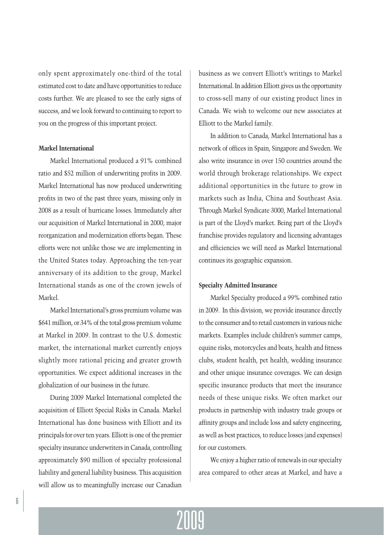only spent approximately one-third of the total estimated cost to date and have opportunities to reduce costs further. We are pleased to see the early signs of success, and we look forward to continuing to report to you on the progress of this important project.

## **Markel International**

Markel International produced a 91% combined ratio and \$52 million of underwriting profits in 2009. Markel International has now produced underwriting profits in two of the past three years, missing only in 2008 as a result of hurricane losses. Immediately after our acquisition of Markel International in 2000, major reorganization and modernization efforts began. These efforts were not unlike those we are implementing in the United States today. Approaching the ten-year anniversary of its addition to the group, Markel International stands as one of the crown jewels of Markel.

Markel International's gross premium volume was \$641 million, or 34% of the total gross premium volume at Markel in 2009. In contrast to the U.S. domestic market, the international market currently enjoys slightly more rational pricing and greater growth opportunities. We expect additional increases in the globalization of our business in the future.

During 2009 Markel International completed the acquisition of Elliott Special Risks in Canada. Markel International has done business with Elliott and its principals for over ten years. Elliott is one of the premier specialty insurance underwriters in Canada, controlling approximately \$90 million of specialty professional liability and general liability business. This acquisition will allow us to meaningfully increase our Canadian

business as we convert Elliott's writings to Markel International.In addition Elliott gives us the opportunity to cross-sell many of our existing product lines in Canada. We wish to welcome our new associates at Elliott to the Markel family.

In addition to Canada, Markel International has a network of offices in Spain, Singapore and Sweden. We also write insurance in over 150 countries around the world through brokerage relationships. We expect additional opportunities in the future to grow in markets such as India, China and Southeast Asia. Through Markel Syndicate 3000, Markel International is part of the Lloyd's market. Being part of the Lloyd's franchise provides regulatory and licensing advantages and efficiencies we will need as Markel International continues its geographic expansion.

#### **Specialty Admitted Insurance**

Markel Specialty produced a 99% combined ratio in 2009. In this division, we provide insurance directly to the consumer and to retail customers in various niche markets. Examples include children's summer camps, equine risks, motorcycles and boats, health and fitness clubs, student health, pet health, wedding insurance and other unique insurance coverages. We can design specific insurance products that meet the insurance needs of these unique risks. We often market our products in partnership with industry trade groups or affinity groups and include loss and safety engineering, as well as best practices, to reduce losses (and expenses) for our customers.

We enjoy a higher ratio of renewals in our specialty area compared to other areas at Markel, and have a

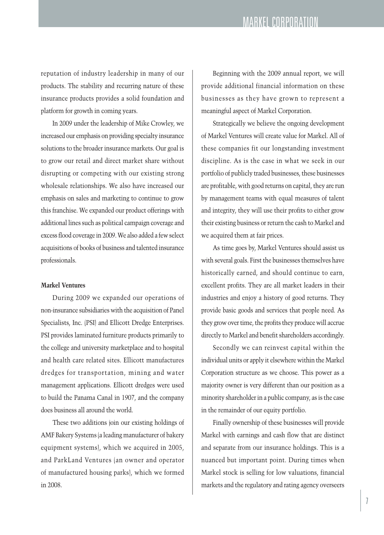# MARKEL CORPORATION

reputation of industry leadership in many of our products. The stability and recurring nature of these insurance products provides a solid foundation and platform for growth in coming years.

In 2009 under the leadership of Mike Crowley, we increased our emphasis on providing specialty insurance solutions to the broader insurance markets. Our goal is to grow our retail and direct market share without disrupting or competing with our existing strong wholesale relationships. We also have increased our emphasis on sales and marketing to continue to grow this franchise. We expanded our product offerings with additional lines such as political campaign coverage and excess flood coverage in 2009.We also added a few select acquisitions of books of business and talented insurance professionals.

#### **Markel Ventures**

During 2009 we expanded our operations of non-insurance subsidiaries with the acquisition of Panel Specialists, Inc. (PSI) and Ellicott Dredge Enterprises. PSI provides laminated furniture products primarily to the college and university marketplace and to hospital and health care related sites. Ellicott manufactures dredges for transportation, mining and water management applications. Ellicott dredges were used to build the Panama Canal in 1907, and the company does business all around the world.

These two additions join our existing holdings of AMF Bakery Systems (a leading manufacturer of bakery equipment systems), which we acquired in 2005, and ParkLand Ventures (an owner and operator of manufactured housing parks), which we formed in 2008.

Beginning with the 2009 annual report, we will provide additional financial information on these businesses as they have grown to represent a meaningful aspect of Markel Corporation.

Strategically we believe the ongoing development of Markel Ventures will create value for Markel. All of these companies fit our longstanding investment discipline. As is the case in what we seek in our portfolio of publicly traded businesses, these businesses are profitable, with good returns on capital, they are run by management teams with equal measures of talent and integrity, they will use their profits to either grow their existing business or return the cash to Markel and we acquired them at fair prices.

As time goes by, Markel Ventures should assist us with several goals. First the businesses themselves have historically earned, and should continue to earn, excellent profits. They are all market leaders in their industries and enjoy a history of good returns. They provide basic goods and services that people need. As they grow over time, the profits they produce will accrue directly to Markel and benefit shareholders accordingly.

Secondly we can reinvest capital within the individual units or apply it elsewhere within the Markel Corporation structure as we choose. This power as a majority owner is very different than our position as a minority shareholder in a public company, as is the case in the remainder of our equity portfolio.

Finally ownership of these businesses will provide Markel with earnings and cash flow that are distinct and separate from our insurance holdings. This is a nuanced but important point. During times when Markel stock is selling for low valuations, financial markets and the regulatory and rating agency overseers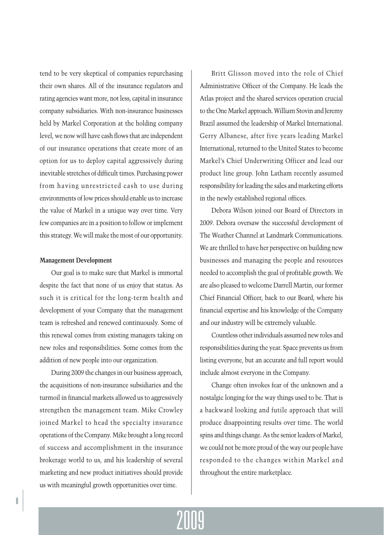tend to be very skeptical of companies repurchasing their own shares. All of the insurance regulators and rating agencies want more, not less, capital in insurance company subsidiaries. With non-insurance businesses held by Markel Corporation at the holding company level, we now will have cash flows that are independent of our insurance operations that create more of an option for us to deploy capital aggressively during inevitable stretches of difficult times. Purchasing power from having unrestricted cash to use during environments of low prices should enable us to increase the value of Markel in a unique way over time. Very few companies are in a position to follow or implement this strategy. We will make the most of our opportunity.

#### **Management Development**

Our goal is to make sure that Markel is immortal despite the fact that none of us enjoy that status. As such it is critical for the long-term health and development of your Company that the management team is refreshed and renewed continuously. Some of this renewal comes from existing managers taking on new roles and responsibilities. Some comes from the addition of new people into our organization.

During 2009 the changes in our business approach, the acquisitions of non-insurance subsidiaries and the turmoil in financial markets allowed us to aggressively strengthen the management team. Mike Crowley joined Markel to head the specialty insurance operations of the Company. Mike brought a long record of success and accomplishment in the insurance brokerage world to us, and his leadership of several marketing and new product initiatives should provide us with meaningful growth opportunities over time.

Britt Glisson moved into the role of Chief Administrative Officer of the Company. He leads the Atlas project and the shared services operation crucial to the One Markel approach. William Stovin and Jeremy Brazil assumed the leadership of Markel International. Gerry Albanese, after five years leading Markel International, returned to the United States to become Markel's Chief Underwriting Officer and lead our product line group. John Latham recently assumed responsibility for leading the sales and marketing efforts in the newly established regional offices.

Debora Wilson joined our Board of Directors in 2009. Debora oversaw the successful development of The Weather Channel at Landmark Communications. We are thrilled to have her perspective on building new businesses and managing the people and resources needed to accomplish the goal of profitable growth. We are also pleased to welcome Darrell Martin, our former Chief Financial Officer, back to our Board, where his financial expertise and his knowledge of the Company and our industry will be extremely valuable.

Countless otherindividuals assumed new roles and responsibilities during the year. Space prevents us from listing everyone, but an accurate and full report would include almost everyone in the Company.

Change often invokes fear of the unknown and a nostalgic longing for the way things used to be. That is a backward looking and futile approach that will produce disappointing results over time. The world spins and things change. As the senior leaders of Markel, we could not be more proud of the way our people have responded to the changes within Markel and throughout the entire marketplace.

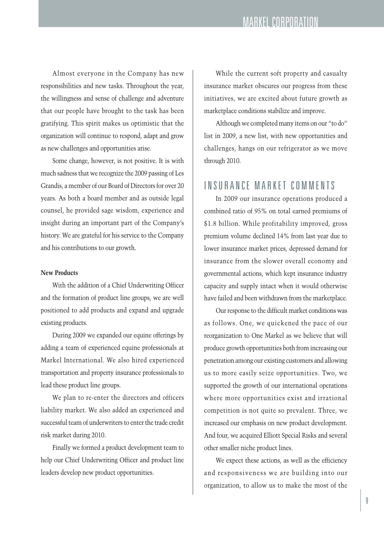Almost everyone in the Company has new responsibilities and new tasks. Throughout the year, the willingness and sense of challenge and adventure that our people have brought to the task has been gratifying. This spirit makes us optimistic that the organization will continue to respond, adapt and grow as new challenges and opportunities arise.

Some change, however, is not positive. It is with much sadness that we recognize the 2009 passing of Les Grandis, a member of our Board of Directors for over 20 years. As both a board member and as outside legal counsel, he provided sage wisdom, experience and insight during an important part of the Company's history. We are grateful for his service to the Company and his contributions to our growth.

## **New Products**

With the addition of a Chief Underwriting Officer and the formation of product line groups, we are well positioned to add products and expand and upgrade existing products.

During 2009 we expanded our equine offerings by adding a team of experienced equine professionals at Markel International. We also hired experienced transportation and property insurance professionals to lead these product line groups.

We plan to re-enter the directors and officers liability market. We also added an experienced and successful team of underwriters to enter the trade credit risk market during 2010.

Finally we formed a product development team to help our Chief Underwriting Officer and product line leaders develop new product opportunities.

While the current soft property and casualty insurance market obscures our progress from these initiatives, we are excited about future growth as marketplace conditions stabilize and improve.

Although we completed many items on our "to do" list in 2009, a new list, with new opportunities and challenges, hangs on our refrigerator as we move through 2010.

## INSURANCE MARKET COMMENTS

In 2009 our insurance operations produced a combined ratio of 95% on total earned premiums of \$1.8 billion. While profitability improved, gross premium volume declined 14% from last year due to lower insurance market prices, depressed demand for insurance from the slower overall economy and governmental actions, which kept insurance industry capacity and supply intact when it would otherwise have failed and been withdrawn from the marketplace.

Our response to the difficult market conditions was as follows. One, we quickened the pace of our reorganization to One Markel as we believe that will produce growth opportunities both from increasing our penetration among our existing customers and allowing us to more easily seize opportunities. Two, we supported the growth of our international operations where more opportunities exist and irrational competition is not quite so prevalent. Three, we increased our emphasis on new product development. And four, we acquired Elliott Special Risks and several other smaller niche product lines.

We expect these actions, as well as the efficiency and responsiveness we are building into our organization, to allow us to make the most of the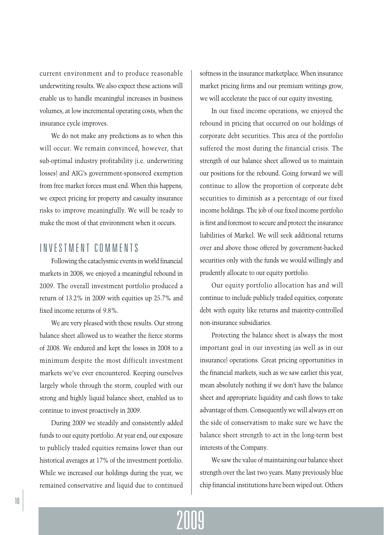current environment and to produce reasonable underwriting results. We also expect these actions will enable us to handle meaningful increases in business volumes, at low incremental operating costs, when the insurance cycle improves.

We do not make any predictions as to when this will occur. We remain convinced, however, that sub-optimal industry profitability (i.e. underwriting losses) and AIG's government-sponsored exemption from free market forces must end. When this happens, we expect pricing for property and casualty insurance risks to improve meaningfully. We will be ready to make the most of that environment when it occurs.

## INVESTMENT COMMENTS

Following the cataclysmic events in world financial markets in 2008, we enjoyed a meaningful rebound in 2009. The overall investment portfolio produced a return of 13.2% in 2009 with equities up 25.7% and fixed income returns of 9.8%.

We are very pleased with these results. Our strong balance sheet allowed us to weather the fierce storms of 2008. We endured and kept the losses in 2008 to a minimum despite the most difficult investment markets we've ever encountered. Keeping ourselves largely whole through the storm, coupled with our strong and highly liquid balance sheet, enabled us to continue to invest proactively in 2009.

During 2009 we steadily and consistently added funds to our equity portfolio. At year end, our exposure to publicly traded equities remains lower than our historical averages at 17% of the investment portfolio. While we increased our holdings during the year, we remained conservative and liquid due to continued

softness in the insurance marketplace. When insurance market pricing firms and our premium writings grow, we will accelerate the pace of our equity investing.

In our fixed income operations, we enjoyed the rebound in pricing that occurred on our holdings of corporate debt securities. This area of the portfolio suffered the most during the financial crisis. The strength of our balance sheet allowed us to maintain our positions for the rebound. Going forward we will continue to allow the proportion of corporate debt securities to diminish as a percentage of our fixed income holdings. The job of our fixed income portfolio is first and foremost to secure and protect the insurance liabilities of Markel. We will seek additional returns over and above those offered by government-backed securities only with the funds we would willingly and prudently allocate to our equity portfolio.

Our equity portfolio allocation has and will continue to include publicly traded equities, corporate debt with equity like returns and majority-controlled non-insurance subsidiaries.

Protecting the balance sheet is always the most important goal in our investing (as well as in our insurance) operations. Great pricing opportunities in the financial markets, such as we saw earlier this year, mean absolutely nothing if we don't have the balance sheet and appropriate liquidity and cash flows to take advantage of them. Consequently we will always err on the side of conservatism to make sure we have the balance sheet strength to act in the long-term best interests of the Company.

We saw the value of maintaining our balance sheet strength over the last two years. Many previously blue chip financial institutions have been wiped out. Others